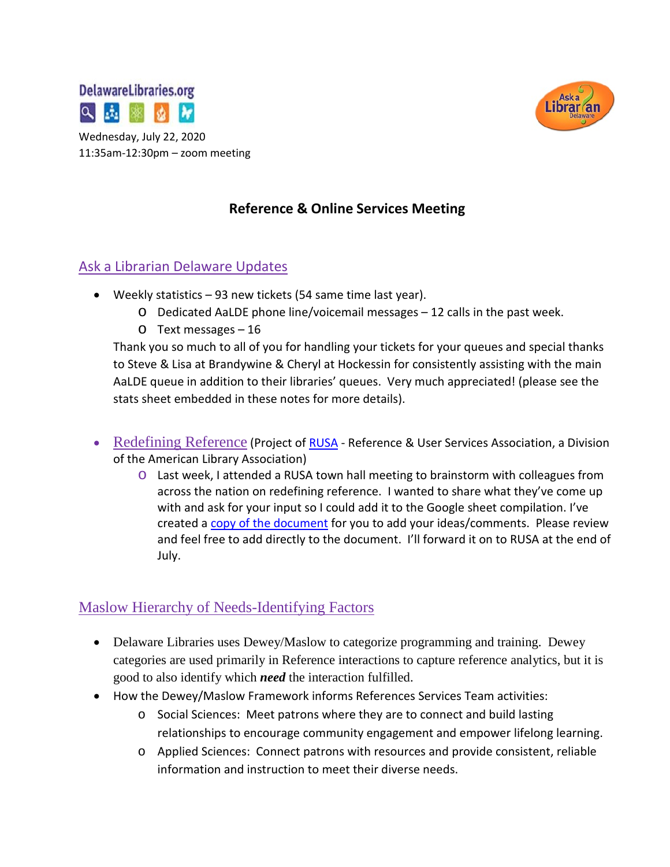



## **Reference & Online Services Meeting**

### Ask a Librarian Delaware Updates

- Weekly statistics 93 new tickets (54 same time last year).
	- o Dedicated AaLDE phone line/voicemail messages 12 calls in the past week.
	- o Text messages 16

Thank you so much to all of you for handling your tickets for your queues and special thanks to Steve & Lisa at Brandywine & Cheryl at Hockessin for consistently assisting with the main AaLDE queue in addition to their libraries' queues. Very much appreciated! (please see the stats sheet embedded in these notes for more details).

- Redefining Reference (Project of [RUSA](http://www.ala.org/rusa/about) Reference & User Services Association, a Division of the American Library Association)
	- o Last week, I attended a RUSA town hall meeting to brainstorm with colleagues from across the nation on redefining reference. I wanted to share what they've come up with and ask for your input so I could add it to the Google sheet compilation. I've created a [copy of the document](https://docs.google.com/document/d/11v67j_ymyoCmkeJMMCXA79WXjSwEW_VSC-Mt4VCCSSs/edit?usp=sharing) for you to add your ideas/comments. Please review and feel free to add directly to the document. I'll forward it on to RUSA at the end of July.

# Maslow Hierarchy of Needs-Identifying Factors

- Delaware Libraries uses Dewey/Maslow to categorize programming and training. Dewey categories are used primarily in Reference interactions to capture reference analytics, but it is good to also identify which *need* the interaction fulfilled.
- How the Dewey/Maslow Framework informs References Services Team activities:
	- o Social Sciences: Meet patrons where they are to connect and build lasting relationships to encourage community engagement and empower lifelong learning.
	- o Applied Sciences: Connect patrons with resources and provide consistent, reliable information and instruction to meet their diverse needs.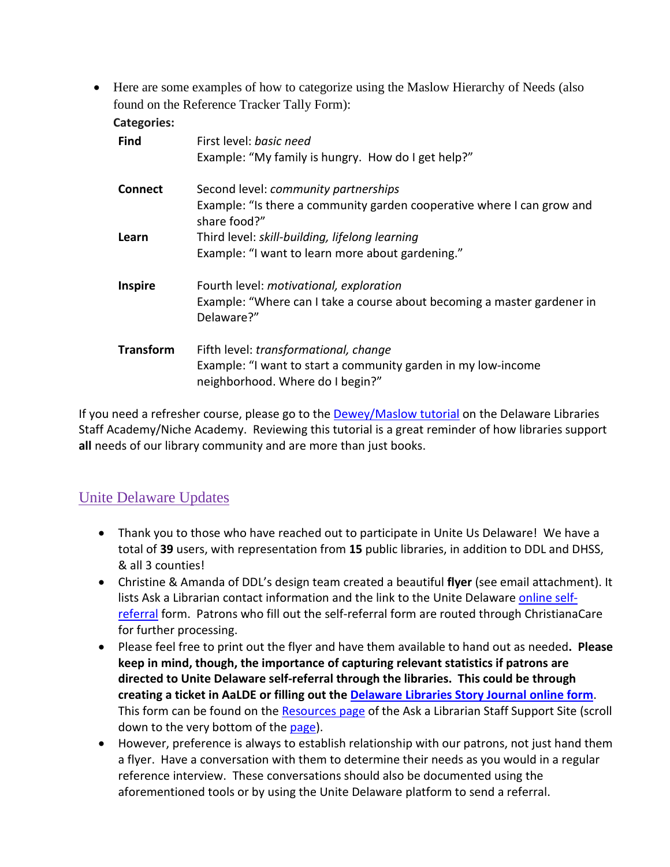• Here are some examples of how to categorize using the Maslow Hierarchy of Needs (also found on the Reference Tracker Tally Form):

| <b>Categories:</b> |                                                                                                   |
|--------------------|---------------------------------------------------------------------------------------------------|
| <b>Find</b>        | First level: basic need                                                                           |
|                    | Example: "My family is hungry. How do I get help?"                                                |
| <b>Connect</b>     | Second level: <i>community partnerships</i>                                                       |
|                    | Example: "Is there a community garden cooperative where I can grow and<br>share food?"            |
| Learn              | Third level: skill-building, lifelong learning                                                    |
|                    | Example: "I want to learn more about gardening."                                                  |
| <b>Inspire</b>     | Fourth level: motivational, exploration                                                           |
|                    | Example: "Where can I take a course about becoming a master gardener in<br>Delaware?"             |
| <b>Transform</b>   | Fifth level: transformational, change                                                             |
|                    | Example: "I want to start a community garden in my low-income<br>neighborhood. Where do I begin?" |

If you need a refresher course, please go to the **[Dewey/Maslow](https://my.nicheacademy.com/delawarelibrariesstaffacademy/course/5909) tutorial** on the Delaware Libraries Staff Academy/Niche Academy. Reviewing this tutorial is a great reminder of how libraries support **all** needs of our library community and are more than just books.

# Unite Delaware Updates

- Thank you to those who have reached out to participate in Unite Us Delaware! We have a total of **39** users, with representation from **15** public libraries, in addition to DDL and DHSS, & all 3 counties!
- Christine & Amanda of DDL's design team created a beautiful **flyer** (see email attachment). It lists Ask a Librarian contact information and the link to the Unite Delaware [online self](https://delaware.uniteus.com/get-help/)[referral](https://delaware.uniteus.com/get-help/) form. Patrons who fill out the self-referral form are routed through ChristianaCare for further processing.
- Please feel free to print out the flyer and have them available to hand out as needed**. Please keep in mind, though, the importance of capturing relevant statistics if patrons are directed to Unite Delaware self-referral through the libraries. This could be through creating a ticket in AaLDE or filling out the [Delaware Libraries Story Journal online form](https://bit.ly/DELibraryStories)**. This form can be found on the [Resources page](https://aalstaff.lib.de.us/resources/) of the Ask a Librarian Staff Support Site (scroll down to the very bottom of the [page\)](https://aalstaff.lib.de.us/resources/).
- However, preference is always to establish relationship with our patrons, not just hand them a flyer. Have a conversation with them to determine their needs as you would in a regular reference interview. These conversations should also be documented using the aforementioned tools or by using the Unite Delaware platform to send a referral.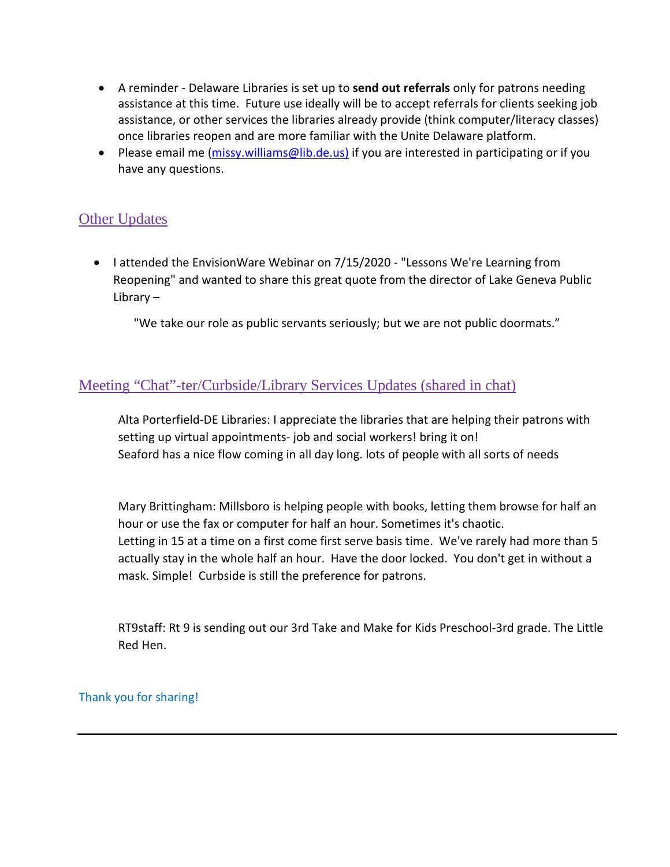- A reminder Delaware Libraries is set up to **send out referrals** only for patrons needing assistance at this time. Future use ideally will be to accept referrals for clients seeking job assistance, or other services the libraries already provide (think computer/literacy classes) once libraries reopen and are more familiar with the Unite Delaware platform.
- Please email me [\(missy.williams@lib.de.us\)](mailto:missy.williams@lib.de.us) if you are interested in participating or if you have any questions.

## Other Updates

• I attended the EnvisionWare Webinar on 7/15/2020 - "Lessons We're Learning from Reopening" and wanted to share this great quote from the director of Lake Geneva Public Library –

"We take our role as public servants seriously; but we are not public doormats."

### Meeting "Chat"-ter/Curbside/Library Services Updates (shared in chat)

Alta Porterfield-DE Libraries: I appreciate the libraries that are helping their patrons with setting up virtual appointments- job and social workers! bring it on! Seaford has a nice flow coming in all day long. lots of people with all sorts of needs

Mary Brittingham: Millsboro is helping people with books, letting them browse for half an hour or use the fax or computer for half an hour. Sometimes it's chaotic. Letting in 15 at a time on a first come first serve basis time. We've rarely had more than 5 actually stay in the whole half an hour. Have the door locked. You don't get in without a mask. Simple! Curbside is still the preference for patrons.

RT9staff: Rt 9 is sending out our 3rd Take and Make for Kids Preschool-3rd grade. The Little Red Hen.

Thank you for sharing!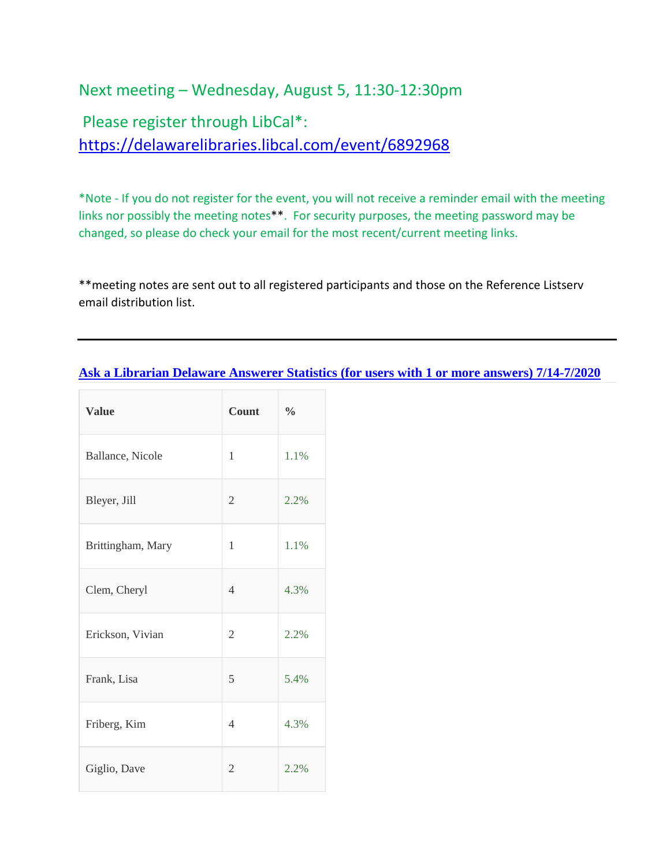# Next meeting – Wednesday, August 5, 11:30-12:30pm

Please register through LibCal\*: <https://delawarelibraries.libcal.com/event/6892968>

\*Note - If you do not register for the event, you will not receive a reminder email with the meeting links nor possibly the meeting notes\*\*. For security purposes, the meeting password may be changed, so please do check your email for the most recent/current meeting links.

\*\*meeting notes are sent out to all registered participants and those on the Reference Listserv email distribution list.

#### **[Ask a Librarian Delaware Answerer Statistics \(for users with 1 or more answers\)](https://answers.delawarelibraries.org/admin/ticketbrowse?m=stats&charts=answerer&qid=&kw=&lasource=0&status=-2&created%5B0%5D=2020-07-14&created%5B1%5D=2020-07-20&updated_date%5B0%5D=&updated_date%5B1%5D=&claimed%5B%5D=-1&quid%5B%5D=1337&quid%5B%5D=398&quid%5B%5D=1359&quid%5B%5D=1360&quid%5B%5D=1361&quid%5B%5D=1362&quid%5B%5D=1416&quid%5B%5D=1445&quid%5B%5D=1417&quid%5B%5D=1455&quid%5B%5D=1447&quid%5B%5D=1456&quid%5B%5D=1443&quid%5B%5D=1418&quid%5B%5D=1449&quid%5B%5D=1419&quid%5B%5D=1420&quid%5B%5D=1421&quid%5B%5D=1423&quid%5B%5D=1424&quid%5B%5D=1446&quid%5B%5D=1425&quid%5B%5D=1426&quid%5B%5D=1427&quid%5B%5D=1428&quid%5B%5D=1429&quid%5B%5D=1457&quid%5B%5D=1430&quid%5B%5D=1431&quid%5B%5D=1432&quid%5B%5D=1433&quid%5B%5D=1440&quid%5B%5D=1434&quid%5B%5D=1422&quid%5B%5D=1553&quid%5B%5D=1435&quid%5B%5D=1436&quid%5B%5D=1437&quid%5B%5D=1438&quid%5B%5D=1439&quid%5B%5D=1444&quid%5B%5D=1441&days=0&hour_range%5B0%5D=0&hour_range%5B1%5D=24&howlong_pre=lesser&howlong=0&qname=&qemail=) 7/14-7/2020**

| <b>Value</b>      | Count          | $\frac{0}{0}$ |
|-------------------|----------------|---------------|
| Ballance, Nicole  | 1              | 1.1%          |
| Bleyer, Jill      | $\mathfrak{2}$ | 2.2%          |
| Brittingham, Mary | 1              | 1.1%          |
| Clem, Cheryl      | $\overline{4}$ | 4.3%          |
| Erickson, Vivian  | $\mathfrak{2}$ | 2.2%          |
| Frank, Lisa       | 5              | 5.4%          |
| Friberg, Kim      | 4              | 4.3%          |
| Giglio, Dave      | $\overline{2}$ | 2.2%          |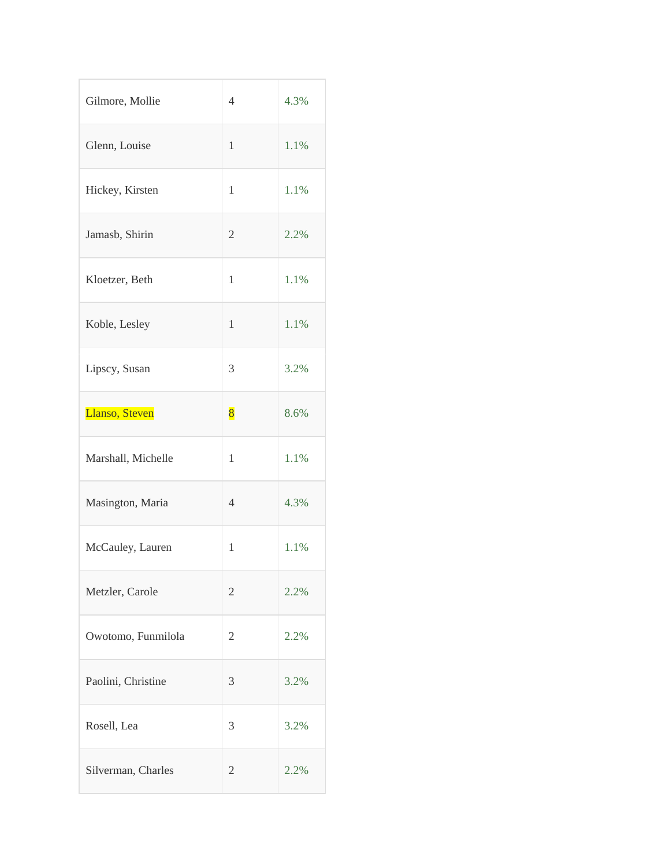| Gilmore, Mollie    | $\overline{4}$ | 4.3% |
|--------------------|----------------|------|
| Glenn, Louise      | $\mathbf{1}$   | 1.1% |
| Hickey, Kirsten    | $\mathbf{1}$   | 1.1% |
| Jamasb, Shirin     | $\mathfrak{2}$ | 2.2% |
| Kloetzer, Beth     | 1              | 1.1% |
| Koble, Lesley      | 1              | 1.1% |
| Lipscy, Susan      | 3              | 3.2% |
| Llanso, Steven     | $\bf{8}$       | 8.6% |
| Marshall, Michelle | $\mathbf{1}$   | 1.1% |
| Masington, Maria   | $\overline{4}$ | 4.3% |
| McCauley, Lauren   | $\mathbf{1}$   | 1.1% |
| Metzler, Carole    | $\mathfrak{2}$ | 2.2% |
| Owotomo, Funmilola | 2              | 2.2% |
| Paolini, Christine | 3              | 3.2% |
| Rosell, Lea        | 3              | 3.2% |
| Silverman, Charles | 2              | 2.2% |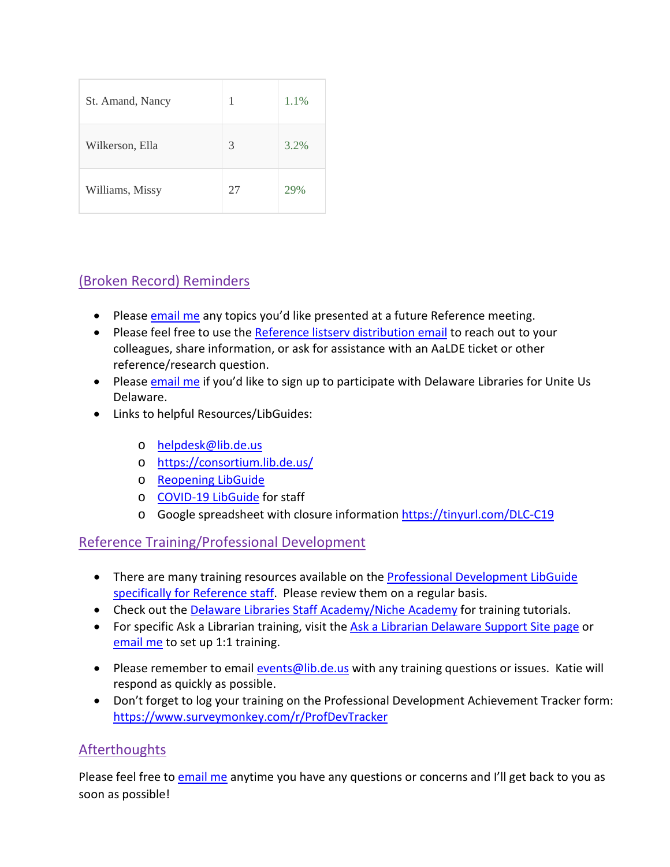| St. Amand, Nancy | 1  | 1.1% |
|------------------|----|------|
| Wilkerson, Ella  | 3  | 3.2% |
| Williams, Missy  | 27 | 29%  |

# (Broken Record) Reminders

- Please [email me](mailto:missy.williams@lib.de.us) any topics you'd like presented at a future Reference meeting.
- Please feel free to use the [Reference listserv distribution email](mailto:reference@listserv.lib.de.us) to reach out to your colleagues, share information, or ask for assistance with an AaLDE ticket or other reference/research question.
- Please [email me](mailto:missy.williams@lib.de.us) if you'd like to sign up to participate with Delaware Libraries for Unite Us Delaware.
- Links to helpful Resources/LibGuides:
	- o [helpdesk@lib.de.us](mailto:helpdesk@lib.de.us)
	- o <https://consortium.lib.de.us/>
	- o [Reopening LibGuide](https://guides.lib.de.us/delibraries/COVID-19/reopening)
	- o [COVID-19 LibGuide](https://guides.lib.de.us/delibraries/COVID-19) for staff
	- o Google spreadsheet with closure information<https://tinyurl.com/DLC-C19>

#### Reference Training/Professional Development

- There are many training resources available on the **Professional Development LibGuide** [specifically for Reference staff.](https://guides.lib.de.us/c.php?g=386101&p=2619930) Please review them on a regular basis.
- Check out the [Delaware Libraries Staff Academy/Niche Academy](https://my.nicheacademy.com/delawarelibrariesstaffacademy) for training tutorials.
- For specific Ask a Librarian training, visit the [Ask a Librarian Delaware Support Site page](https://aalstaff.lib.de.us/all-meetings-trainings/training-tutorials/) or [email me](mailto:missy.williams@lib.de.us) to set up 1:1 training.
- Please remember to email [events@lib.de.us](mailto:events@lib.de.us) with any training questions or issues. Katie will respond as quickly as possible.
- Don't forget to log your training on the Professional Development Achievement Tracker form: <https://www.surveymonkey.com/r/ProfDevTracker>

## **Afterthoughts**

Please feel free t[o email me](mailto:missy.williams@lib.de.us) anytime you have any questions or concerns and I'll get back to you as soon as possible!